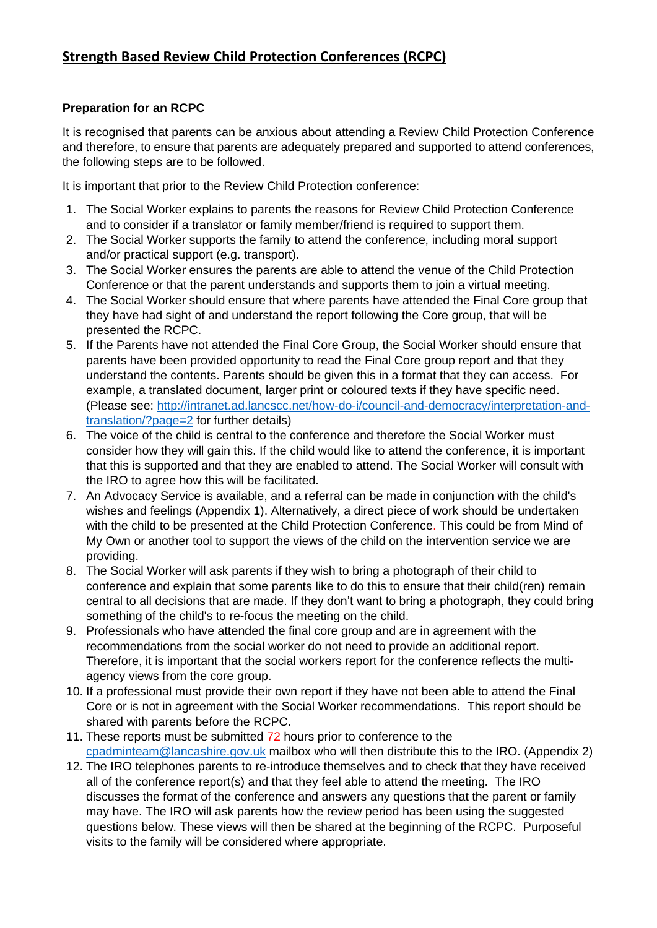# **Preparation for an RCPC**

It is recognised that parents can be anxious about attending a Review Child Protection Conference and therefore, to ensure that parents are adequately prepared and supported to attend conferences, the following steps are to be followed.

It is important that prior to the Review Child Protection conference:

- 1. The Social Worker explains to parents the reasons for Review Child Protection Conference and to consider if a translator or family member/friend is required to support them.
- 2. The Social Worker supports the family to attend the conference, including moral support and/or practical support (e.g. transport).
- 3. The Social Worker ensures the parents are able to attend the venue of the Child Protection Conference or that the parent understands and supports them to join a virtual meeting.
- 4. The Social Worker should ensure that where parents have attended the Final Core group that they have had sight of and understand the report following the Core group, that will be presented the RCPC.
- 5. If the Parents have not attended the Final Core Group, the Social Worker should ensure that parents have been provided opportunity to read the Final Core group report and that they understand the contents. Parents should be given this in a format that they can access. For example, a translated document, larger print or coloured texts if they have specific need. (Please see: [http://intranet.ad.lancscc.net/how-do-i/council-and-democracy/interpretation-and](http://intranet.ad.lancscc.net/how-do-i/council-and-democracy/interpretation-and-translation/?page=2)[translation/?page=2](http://intranet.ad.lancscc.net/how-do-i/council-and-democracy/interpretation-and-translation/?page=2) for further details)
- 6. The voice of the child is central to the conference and therefore the Social Worker must consider how they will gain this. If the child would like to attend the conference, it is important that this is supported and that they are enabled to attend. The Social Worker will consult with the IRO to agree how this will be facilitated.
- 7. An Advocacy Service is available, and a referral can be made in conjunction with the child's wishes and feelings (Appendix 1). Alternatively, a direct piece of work should be undertaken with the child to be presented at the Child Protection Conference. This could be from Mind of My Own or another tool to support the views of the child on the intervention service we are providing.
- 8. The Social Worker will ask parents if they wish to bring a photograph of their child to conference and explain that some parents like to do this to ensure that their child(ren) remain central to all decisions that are made. If they don't want to bring a photograph, they could bring something of the child's to re-focus the meeting on the child.
- 9. Professionals who have attended the final core group and are in agreement with the recommendations from the social worker do not need to provide an additional report. Therefore, it is important that the social workers report for the conference reflects the multiagency views from the core group.
- 10. If a professional must provide their own report if they have not been able to attend the Final Core or is not in agreement with the Social Worker recommendations. This report should be shared with parents before the RCPC.
- 11. These reports must be submitted 72 hours prior to conference to the [cpadminteam@lancashire.gov.uk](mailto:cpadminteam@lancashire.gov.uk) mailbox who will then distribute this to the IRO. (Appendix 2)
- 12. The IRO telephones parents to re-introduce themselves and to check that they have received all of the conference report(s) and that they feel able to attend the meeting. The IRO discusses the format of the conference and answers any questions that the parent or family may have. The IRO will ask parents how the review period has been using the suggested questions below. These views will then be shared at the beginning of the RCPC. Purposeful visits to the family will be considered where appropriate.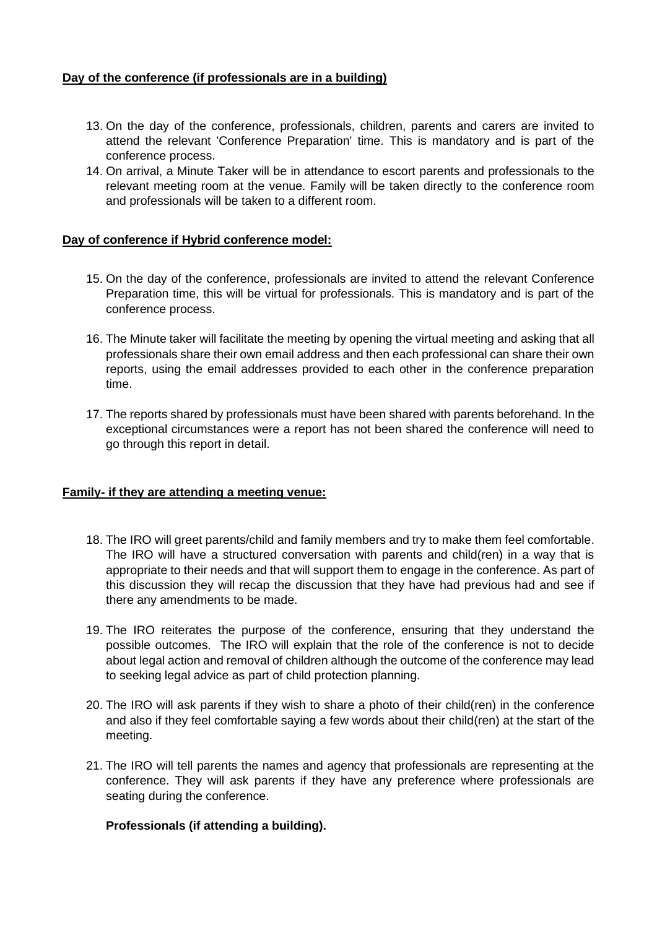## **Day of the conference (if professionals are in a building)**

- 13. On the day of the conference, professionals, children, parents and carers are invited to attend the relevant 'Conference Preparation' time. This is mandatory and is part of the conference process.
- 14. On arrival, a Minute Taker will be in attendance to escort parents and professionals to the relevant meeting room at the venue. Family will be taken directly to the conference room and professionals will be taken to a different room.

#### **Day of conference if Hybrid conference model:**

- 15. On the day of the conference, professionals are invited to attend the relevant Conference Preparation time, this will be virtual for professionals. This is mandatory and is part of the conference process.
- 16. The Minute taker will facilitate the meeting by opening the virtual meeting and asking that all professionals share their own email address and then each professional can share their own reports, using the email addresses provided to each other in the conference preparation time.
- 17. The reports shared by professionals must have been shared with parents beforehand. In the exceptional circumstances were a report has not been shared the conference will need to go through this report in detail.

#### **Family- if they are attending a meeting venue:**

- 18. The IRO will greet parents/child and family members and try to make them feel comfortable. The IRO will have a structured conversation with parents and child(ren) in a way that is appropriate to their needs and that will support them to engage in the conference. As part of this discussion they will recap the discussion that they have had previous had and see if there any amendments to be made.
- 19. The IRO reiterates the purpose of the conference, ensuring that they understand the possible outcomes. The IRO will explain that the role of the conference is not to decide about legal action and removal of children although the outcome of the conference may lead to seeking legal advice as part of child protection planning.
- 20. The IRO will ask parents if they wish to share a photo of their child(ren) in the conference and also if they feel comfortable saying a few words about their child(ren) at the start of the meeting.
- 21. The IRO will tell parents the names and agency that professionals are representing at the conference. They will ask parents if they have any preference where professionals are seating during the conference.

#### **Professionals (if attending a building).**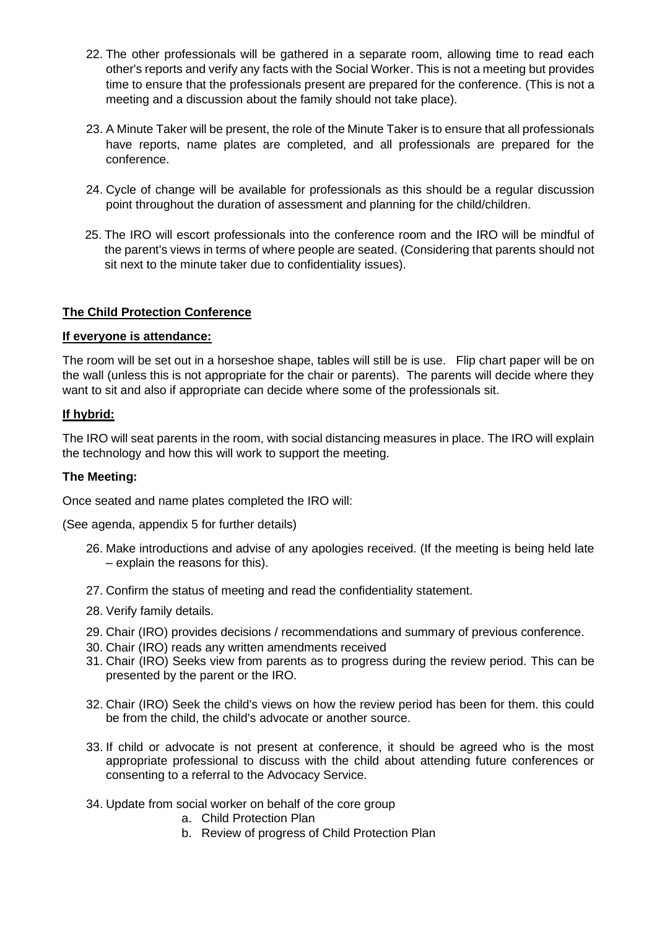- 22. The other professionals will be gathered in a separate room, allowing time to read each other's reports and verify any facts with the Social Worker. This is not a meeting but provides time to ensure that the professionals present are prepared for the conference. (This is not a meeting and a discussion about the family should not take place).
- 23. A Minute Taker will be present, the role of the Minute Taker is to ensure that all professionals have reports, name plates are completed, and all professionals are prepared for the conference.
- 24. Cycle of change will be available for professionals as this should be a regular discussion point throughout the duration of assessment and planning for the child/children.
- 25. The IRO will escort professionals into the conference room and the IRO will be mindful of the parent's views in terms of where people are seated. (Considering that parents should not sit next to the minute taker due to confidentiality issues).

## **The Child Protection Conference**

#### **If everyone is attendance:**

The room will be set out in a horseshoe shape, tables will still be is use. Flip chart paper will be on the wall (unless this is not appropriate for the chair or parents). The parents will decide where they want to sit and also if appropriate can decide where some of the professionals sit.

#### **If hybrid:**

The IRO will seat parents in the room, with social distancing measures in place. The IRO will explain the technology and how this will work to support the meeting.

#### **The Meeting:**

Once seated and name plates completed the IRO will:

(See agenda, appendix 5 for further details)

- 26. Make introductions and advise of any apologies received. (If the meeting is being held late – explain the reasons for this).
- 27. Confirm the status of meeting and read the confidentiality statement.
- 28. Verify family details.
- 29. Chair (IRO) provides decisions / recommendations and summary of previous conference.
- 30. Chair (IRO) reads any written amendments received
- 31. Chair (IRO) Seeks view from parents as to progress during the review period. This can be presented by the parent or the IRO.
- 32. Chair (IRO) Seek the child's views on how the review period has been for them. this could be from the child, the child's advocate or another source.
- 33. If child or advocate is not present at conference, it should be agreed who is the most appropriate professional to discuss with the child about attending future conferences or consenting to a referral to the Advocacy Service.
- 34. Update from social worker on behalf of the core group
	- a. Child Protection Plan
	- b. Review of progress of Child Protection Plan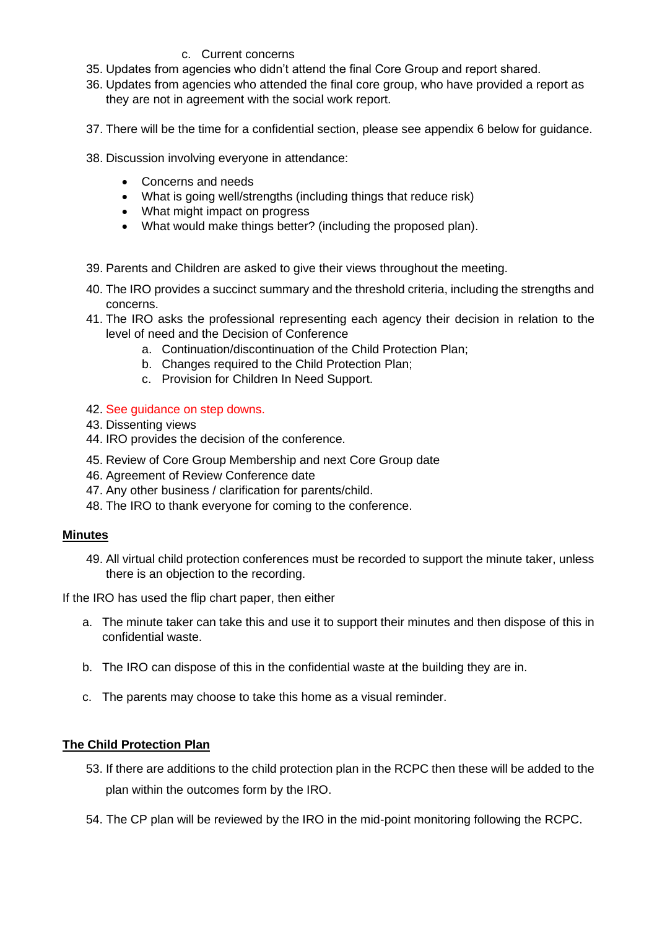#### c. Current concerns

- 35. Updates from agencies who didn't attend the final Core Group and report shared.
- 36. Updates from agencies who attended the final core group, who have provided a report as they are not in agreement with the social work report.
- 37. There will be the time for a confidential section, please see appendix 6 below for guidance.
- 38. Discussion involving everyone in attendance:
	- Concerns and needs
	- What is going well/strengths (including things that reduce risk)
	- What might impact on progress
	- What would make things better? (including the proposed plan).
- 39. Parents and Children are asked to give their views throughout the meeting.
- 40. The IRO provides a succinct summary and the threshold criteria, including the strengths and concerns.
- 41. The IRO asks the professional representing each agency their decision in relation to the level of need and the Decision of Conference
	- a. Continuation/discontinuation of the Child Protection Plan;
	- b. Changes required to the Child Protection Plan;
	- c. Provision for Children In Need Support.

#### 42. See guidance on step downs.

- 43. Dissenting views
- 44. IRO provides the decision of the conference.
- 45. Review of Core Group Membership and next Core Group date
- 46. Agreement of Review Conference date
- 47. Any other business / clarification for parents/child.
- 48. The IRO to thank everyone for coming to the conference.

#### **Minutes**

49. All virtual child protection conferences must be recorded to support the minute taker, unless there is an objection to the recording.

If the IRO has used the flip chart paper, then either

- a. The minute taker can take this and use it to support their minutes and then dispose of this in confidential waste.
- b. The IRO can dispose of this in the confidential waste at the building they are in.
- c. The parents may choose to take this home as a visual reminder.

#### **The Child Protection Plan**

- 53. If there are additions to the child protection plan in the RCPC then these will be added to the plan within the outcomes form by the IRO.
- 54. The CP plan will be reviewed by the IRO in the mid-point monitoring following the RCPC.